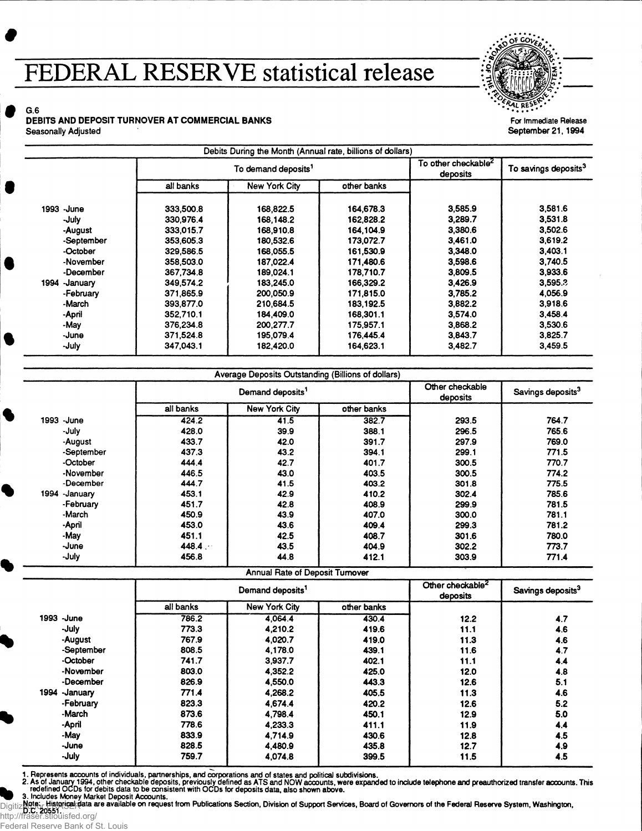## **FEDERAL RESERVE statistical release**



**For Immediate Release** September 21,1994

S G.6 DEBITS AND DEPOSIT TURNOVER AT COMMERCIAL BANKS Seasonally Adjusted

|                  | To demand deposits <sup>1</sup> |               |             | To other checkable <sup>2</sup><br>deposits | To savings deposits <sup>3</sup> |
|------------------|---------------------------------|---------------|-------------|---------------------------------------------|----------------------------------|
|                  | all banks                       | New York City | other banks |                                             |                                  |
| 1993 - June      | 333,500.8                       | 168,822.5     | 164,678.3   | 3,585.9                                     | 3,581.6                          |
| -July            | 330,976.4                       | 168,148.2     | 162,828.2   | 3,289.7                                     | 3,531.8                          |
| -August          | 333,015.7                       | 168,910.8     | 164, 104.9  | 3,380.6                                     | 3,502.6                          |
| -September       | 353,605.3                       | 180,532.6     | 173,072.7   | 3,461.0                                     | 3,619.2                          |
| -October         | 329,586.5                       | 168,055.5     | 161.530.9   | 3,348.0                                     | 3,403.1                          |
| -November        | 358,503.0                       | 187.022.4     | 171,480.6   | 3,598.6                                     | 3,740.5                          |
| -December        | 367,734.8                       | 189,024.1     | 178,710.7   | 3,809.5                                     | 3,933.6                          |
| 1994<br>-January | 349.574.2                       | 183,245.0     | 166,329.2   | 3,426.9                                     | 3,595.3                          |
| -February        | 371,865.9                       | 200,050.9     | 171,815.0   | 3.785.2                                     | 4,056.9                          |
| -March           | 393.877.0                       | 210,684.5     | 183, 192.5  | 3,882.2                                     | 3,918.6                          |
| -April           | 352.710.1                       | 184,409.0     | 168,301.1   | 3,574.0                                     | 3,458.4                          |
| -May             | 376,234.8                       | 200.277.7     | 175.957.1   | 3,868.2                                     | 3,530.6                          |
| -June            | 371,524.8                       | 195,079.4     | 176,445.4   | 3,843.7                                     | 3,825.7                          |
| -July            | 347.043.1                       | 182,420.0     | 164,623.1   | 3,482.7                                     | 3,459.5                          |

|                  |                              | Average Deposits Outstanding (Billions of dollars) |             |                             |                               |
|------------------|------------------------------|----------------------------------------------------|-------------|-----------------------------|-------------------------------|
|                  | Demand deposits <sup>1</sup> |                                                    |             | Other checkable<br>deposits | Savings deposits <sup>3</sup> |
|                  | all banks                    | <b>New York City</b>                               | other banks |                             |                               |
| 1993<br>-June    | 424.2                        | 41.5                                               | 382.7       | 293.5                       | 764.7                         |
| -July            | 428.0                        | 39.9                                               | 388.1       | 296.5                       | 765.6                         |
| -August          | 433.7                        | 42.0                                               | 391.7       | 297.9                       | 769.0                         |
| -September       | 437.3                        | 43.2                                               | 394.1       | 299.1                       | 771.5                         |
| -October         | 444.4                        | 42.7                                               | 401.7       | 300.5                       | 770.7                         |
| -November        | 446.5                        | 43.0                                               | 403.5       | 300.5                       | 774.2                         |
| -December        | 444.7                        | 41.5                                               | 403.2       | 301.8                       | 775.5                         |
| 1994<br>-January | 453.1                        | 42.9                                               | 410.2       | 302.4                       | 785.6                         |
| -February        | 451.7                        | 42.8                                               | 408.9       | 299.9                       | 781.5                         |
| -March           | 450.9                        | 43.9                                               | 407.0       | 300.0                       | 781.1                         |
| -April           | 453.0                        | 43.6                                               | 409.4       | 299.3                       | 781.2                         |
| -May             | 451.1                        | 42.5                                               | 408.7       | 301.6                       | 780.0                         |
| -June            | 448.4                        | 43.5                                               | 404.9       | 302.2                       | 773.7                         |
| -July            | 456.8                        | 44.8                                               | 412.1       | 303.9                       | 771.4                         |

**Annual Rate of Deposit Turnover** 

|                | Demand deposits <sup>1</sup> |               |             | Other checkable <sup>2</sup><br>deposits | Savings deposits <sup>3</sup> |
|----------------|------------------------------|---------------|-------------|------------------------------------------|-------------------------------|
|                | all banks                    | New York City | other banks |                                          |                               |
| 1993 -June     | 786.2                        | 4.064.4       | 430.4       | 12.2                                     | 4.7                           |
| -July          | 773.3                        | 4.210.2       | 419.6       | 11.1                                     | 4.6                           |
| -August        | 767.9                        | 4,020.7       | 419.0       | 11.3                                     | 4.6                           |
| -September     | 808.5                        | 4.178.0       | 439.1       | 11.6                                     | 4.7                           |
| -October       | 741.7                        | 3.937.7       | 402.1       | 11.1                                     | 4.4                           |
| -November      | 803.0                        | 4.352.2       | 425.0       | 12.0                                     | 4.8                           |
| -December      | 826.9                        | 4,550.0       | 443.3       | 12.6                                     | 5.1                           |
| 1994 - January | 771.4                        | 4.268.2       | 405.5       | 11.3                                     | 4.6                           |
| -February      | 823.3                        | 4.674.4       | 420.2       | 12.6                                     | 5.2                           |
| -March         | 873.6                        | 4.798.4       | 450.1       | 12.9                                     | 5.0                           |
| -April         | 778.6                        | 4.233.3       | 411.1       | 11.9                                     | 4.4                           |
| -May           | 833.9                        | 4.714.9       | 430.6       | 12.8                                     | 4.5                           |
| -June          | 828.5                        | 4,480.9       | 435.8       | 12.7                                     | 4.9                           |
| -July          | 759.7                        | 4,074.8       | 399.5       | 11.5                                     | 4.5                           |

Federal Reserve Bank of St. Louis

1. Represents accounts of individuals, partnerships, and corporations and of states and political subdivisions.<br>2. As of January 1994, other checkable deposits, previously defined OCDs for depisits of NS and NOW accounts.<br>

http://fraser.stlouisfed.org/